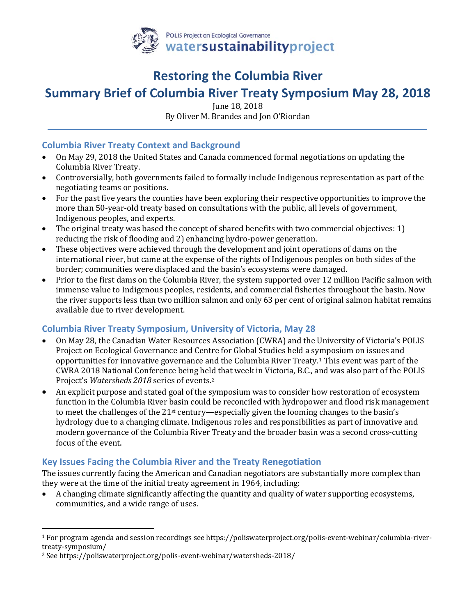

## **Restoring the Columbia River**

# **Summary Brief of Columbia River Treaty Symposium May 28, 2018**

June 18, 2018

By Oliver M. Brandes and Jon O'Riordan

#### **Columbia River Treaty Context and Background**

- On May 29, 2018 the United States and Canada commenced formal negotiations on updating the Columbia River Treaty.
- Controversially, both governments failed to formally include Indigenous representation as part of the negotiating teams or positions.
- For the past five years the counties have been exploring their respective opportunities to improve the more than 50-year-old treaty based on consultations with the public, all levels of government, Indigenous peoples, and experts.
- The original treaty was based the concept of shared benefits with two commercial objectives: 1) reducing the risk of flooding and 2) enhancing hydro-power generation.
- These objectives were achieved through the development and joint operations of dams on the international river, but came at the expense of the rights of Indigenous peoples on both sides of the border; communities were displaced and the basin's ecosystems were damaged.
- Prior to the first dams on the Columbia River, the system supported over 12 million Pacific salmon with immense value to Indigenous peoples, residents, and commercial fisheries throughout the basin. Now the river supports less than two million salmon and only 63 per cent of original salmon habitat remains available due to river development.

#### **Columbia River Treaty Symposium, University of Victoria, May 28**

- On May 28, the Canadian Water Resources Association (CWRA) and the University of Victoria's POLIS Project on Ecological Governance and Centre for Global Studies held a symposium on issues and opportunities for innovative governance and the Columbia River Treaty.[1](#page-0-0) This event was part of the CWRA 2018 National Conference being held that week in Victoria, B.C., and was also part of the POLIS Project's *Watersheds 2018* series of events.[2](#page-0-1)
- An explicit purpose and stated goal of the symposium was to consider how restoration of ecosystem function in the Columbia River basin could be reconciled with hydropower and flood risk management to meet the challenges of the 21st century—especially given the looming changes to the basin's hydrology due to a changing climate. Indigenous roles and responsibilities as part of innovative and modern governance of the Columbia River Treaty and the broader basin was a second cross-cutting focus of the event.

## **Key Issues Facing the Columbia River and the Treaty Renegotiation**

The issues currently facing the American and Canadian negotiators are substantially more complex than they were at the time of the initial treaty agreement in 1964, including:

• A changing climate significantly affecting the quantity and quality of water supporting ecosystems, communities, and a wide range of uses.

<span id="page-0-0"></span> <sup>1</sup> For program agenda and session recordings see https://poliswaterproject.org/polis-event-webinar/columbia-rivertreaty-symposium/

<span id="page-0-1"></span><sup>2</sup> See https://poliswaterproject.org/polis-event-webinar/watersheds-2018/